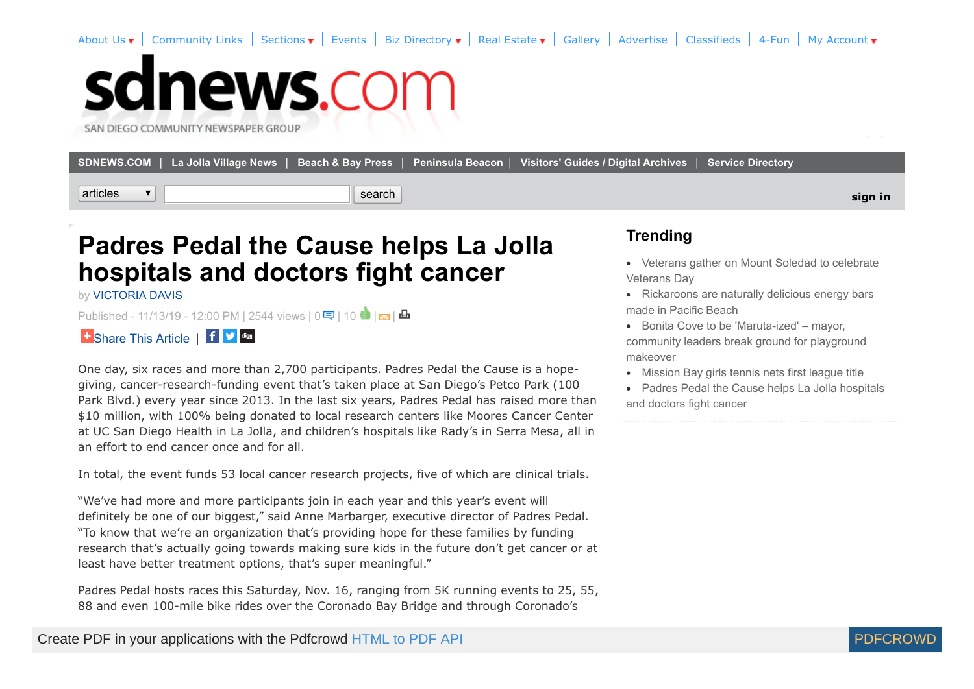[About Us](http://sdnews.com/pages/about_us)  $\bullet$  | [Community Links](http://sdnews.com/community_links) | Sections  $\bullet$  | [Events](http://sdnews.com/pages/events) | [Biz Directory](http://sdnews.com/pages/business_directory)  $\bullet$  | [Real Estate](http://sdnews.com/pages/real_estate)  $\bullet$  | [Gallery](http://sdnews.com/Gallery) | [Advertise](http://sdnews.com/pages/main_advertising_information) | [Classifieds](http://sdnews.com/pages/classifieds_ad2ad) | [4-Fun](http://sdnews.com/pages/crosswords) | My Account  $\bullet$ 

## sdnews.com

SAN DIEGO COMMUNITY NEWSPAPER GROUP

|          | SDNEWS.COM   La Jolla Village News   Beach & Bay Press   Peninsula Beacon   Visitors' Guides / Digital Archives   Service Directory |         |
|----------|-------------------------------------------------------------------------------------------------------------------------------------|---------|
| articles | search                                                                                                                              | sign in |

## **Padres Pedal the Cause helps La Jolla hospitals and doctors fight cancer**

by [VICTORIA DAVIS](http://sdnews.com/bookmark/27601593-VICTORIA_DAVIS)

Published- 11/13/19 - 12:00 PM | 2544 views | 0 9 | 10 | 1 | 2 | 日



One day, six races and more than 2,700 participants. Padres Pedal the Cause is a hopegiving, cancer-research-funding event that's taken place at San Diego's Petco Park (100 Park Blvd.) every year since 2013. In the last six years, Padres Pedal has raised more than \$10 million, with 100% being donated to local research centers like Moores Cancer Center at UC San Diego Health in La Jolla, and children's hospitals like Rady's in Serra Mesa, all in an effort to end cancer once and for all.

In total, the event funds 53 local cancer research projects, five of which are clinical trials.

"We've had more and more participants join in each year and this year's event will definitely be one of our biggest," said Anne Marbarger, executive director of Padres Pedal. "To know that we're an organization that's providing hope for these families by funding research that's actually going towards making sure kids in the future don't get cancer or at least have better treatment options, that's super meaningful."

Padres Pedal hosts races this Saturday, Nov. 16, ranging from 5K running events to 25, 55, 88 and even 100-mile bike rides over the Coronado Bay Bridge and through Coronado's

## **Trending**

- [Veterans gather on Mount Soledad to celebrate](http://sdnews.com/view/full_story/27679235/article-Veterans-gather-on-Mount-Soledad-to-celebrate-Veterans-Day?instance=most_popular1) Veterans Day
- [Rickaroons are naturally delicious energy bars](http://sdnews.com/view/full_story/27679097/article-Rickaroons-are-naturally-delicious-energy-bars-made-in-Pacific-Beach?instance=most_popular1) made in Pacific Beach
- Bonita Cove to be 'Maruta-ized' mayor, [community leaders break ground for playground](http://sdnews.com/view/full_story/27679071/article--Bonita-Cove-to-be--Maruta-ized----mayor--community-leaders-break-ground-for-playground-makeover?instance=most_popular1) makeover
- [Mission Bay girls tennis nets first league title](http://sdnews.com/view/full_story/27679253/article-Mission-Bay-girls-tennis-nets-first-league-title-?instance=most_popular1)
- [Padres Pedal the Cause helps La Jolla hospitals](http://sdnews.com/view/full_story/27679221/article-Padres-Pedal-the-Cause-helps-La-Jolla-hospitals-and-doctors-fight-cancer?instance=most_popular1) and doctors fight cancer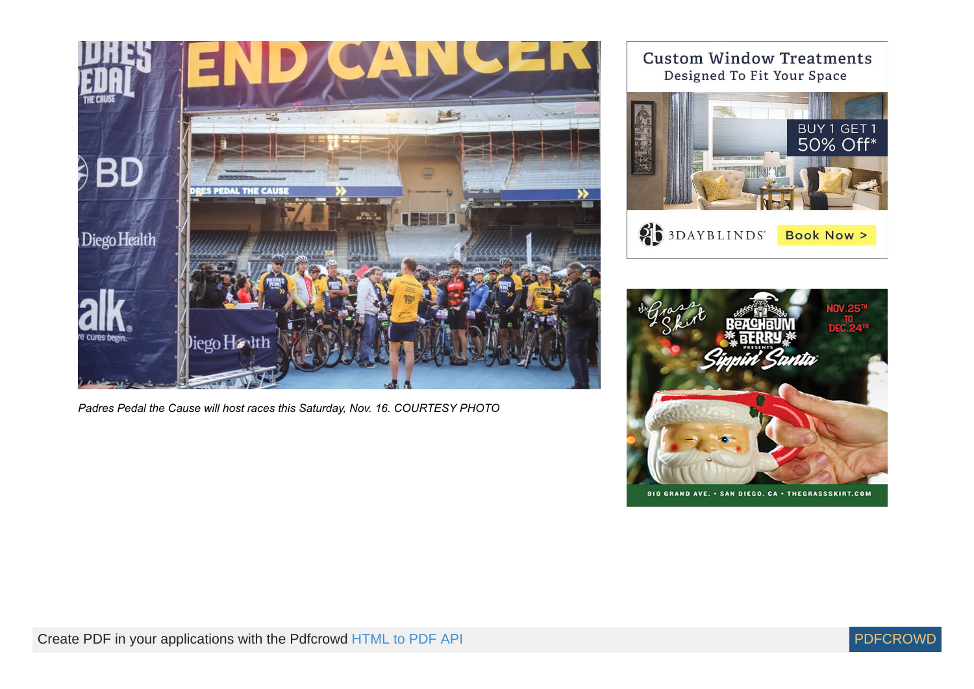

*Padres Pedal the Cause will host races this Saturday, Nov. 16. COURTESY PHOTO*

**Custom Window Treatments** Designed To Fit Your Space BUY 1 GET 1<br>50% Off\*

**SEE 3DAYBLINDS** Book Now >



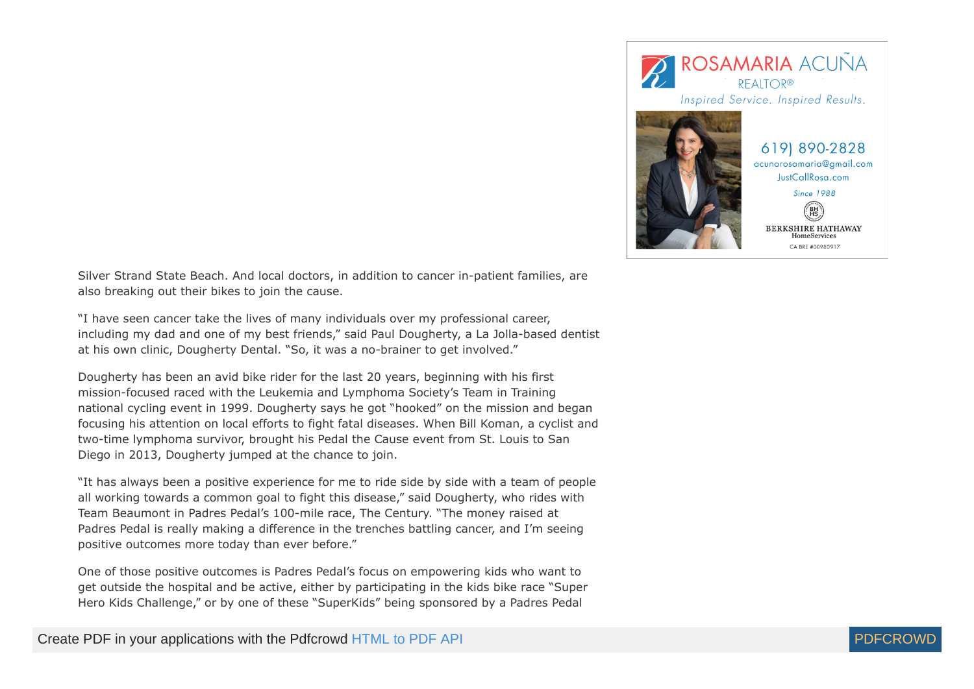

Silver Strand State Beach. And local doctors, in addition to cancer in-patient families, are also breaking out their bikes to join the cause.

"I have seen cancer take the lives of many individuals over my professional career, including my dad and one of my best friends," said Paul Dougherty, a La Jolla-based dentist at his own clinic, Dougherty Dental. "So, it was a no-brainer to get involved."

Dougherty has been an avid bike rider for the last 20 years, beginning with his first mission-focused raced with the Leukemia and Lymphoma Society's Team in Training national cycling event in 1999. Dougherty says he got "hooked" on the mission and began focusing his attention on local efforts to fight fatal diseases. When Bill Koman, a cyclist and two-time lymphoma survivor, brought his Pedal the Cause event from St. Louis to San Diego in 2013, Dougherty jumped at the chance to join.

"It has always been a positive experience for me to ride side by side with a team of people all working towards a common goal to fight this disease," said Dougherty, who rides with Team Beaumont in Padres Pedal's 100-mile race, The Century. "The money raised at Padres Pedal is really making a difference in the trenches battling cancer, and I'm seeing positive outcomes more today than ever before."

One of those positive outcomes is Padres Pedal's focus on empowering kids who want to get outside the hospital and be active, either by participating in the kids bike race "Super Hero Kids Challenge," or by one of these "SuperKids" being sponsored by a Padres Pedal

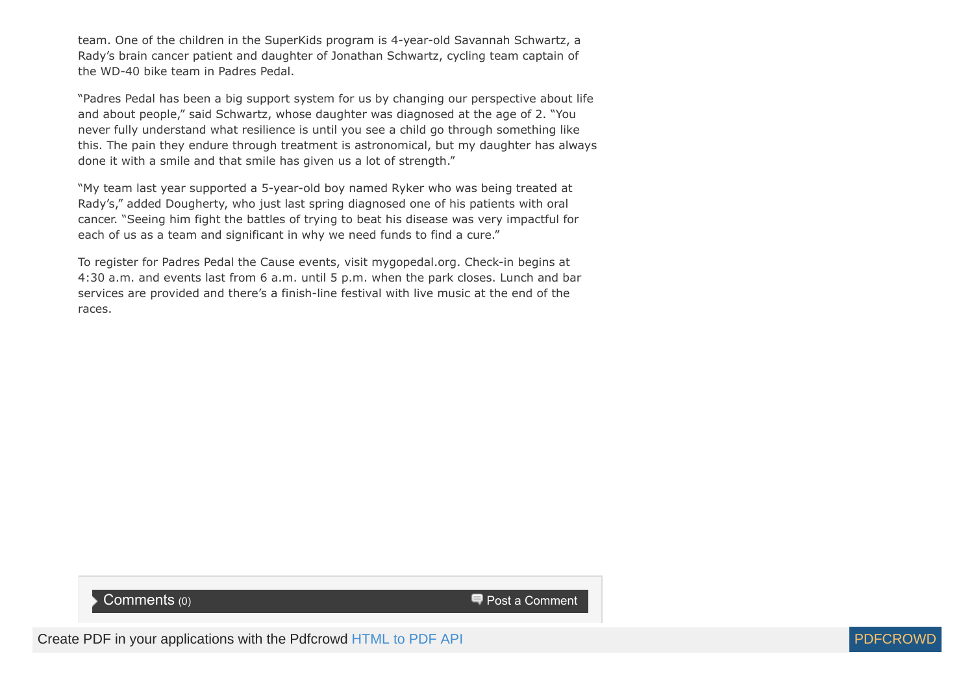team. One of the children in the SuperKids program is 4-year-old Savannah Schwartz, a Rady's brain cancer patient and daughter of Jonathan Schwartz, cycling team captain of the WD-40 bike team in Padres Pedal.

"Padres Pedal has been a big support system for us by changing our perspective about life and about people," said Schwartz, whose daughter was diagnosed at the age of 2. "You never fully understand what resilience is until you see a child go through something like this. The pain they endure through treatment is astronomical, but my daughter has always done it with a smile and that smile has given us a lot of strength."

"My team last year supported a 5-year-old boy named Ryker who was being treated at Rady's," added Dougherty, who just last spring diagnosed one of his patients with oral cancer. "Seeing him fight the battles of trying to beat his disease was very impactful for each of us as a team and significant in why we need funds to find a cure."

To register for Padres Pedal the Cause events, visit mygopedal.org. Check-in begins at 4:30 a.m. and events last from 6 a.m. until 5 p.m. when the park closes. Lunch and bar services are provided and there's a finish-line festival with live music at the end of the races.

## $\blacksquare$  Post a Comments (0) Post a Comments (0)